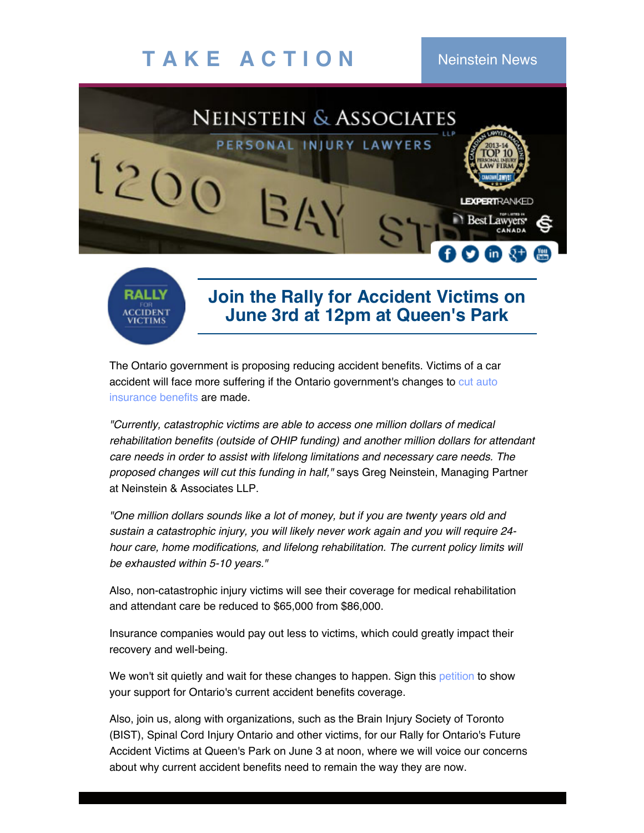## **T A K E A C T I O N** Neinstein News

RALLY



## **Join the Rally for Accident Victims on June 3rd at 12pm at Queen's Park**

The Ontario government is proposing reducing accident benefits. Victims of a car accident will face more suffering if the Ontario [government's](http://www.neinstein.com/ontario-government-continues-to-reduce-auto-insurance-coverage/) changes to cut auto insurance benefits are made.

*"Currently, catastrophic victims are able to access one million dollars of medical rehabilitation benefits (outside of OHIP funding) and another million dollars for attendant care needs in order to assist with lifelong limitations and necessary care needs. The proposed changes will cut this funding in half,"* says Greg Neinstein, Managing Partner at Neinstein & Associates LLP.

*"One million dollars sounds like a lot of money, but if you are twenty years old and sustain a catastrophic injury, you will likely never work again and you will require 24 hour care, home modifications, and lifelong rehabilitation. The current policy limits will be exhausted within 5-10 years."*

Also, non-catastrophic injury victims will see their coverage for medical rehabilitation and attendant care be reduced to \$65,000 from \$86,000.

Insurance companies would pay out less to victims, which could greatly impact their recovery and well-being.

We won't sit quietly and wait for these changes to happen. Sign this [petition](https://www.change.org/p/ontario-mpps-finance-minister-charles-sousa-stop-reducing-ontario-accident-benefits) to show your support for Ontario's current accident benefits coverage.

Also, join us, along with organizations, such as the Brain Injury Society of Toronto (BIST), Spinal Cord Injury Ontario and other victims, for our Rally for Ontario's Future Accident Victims at Queen's Park on June 3 at noon, where we will voice our concerns about why current accident benefits need to remain the way they are now.